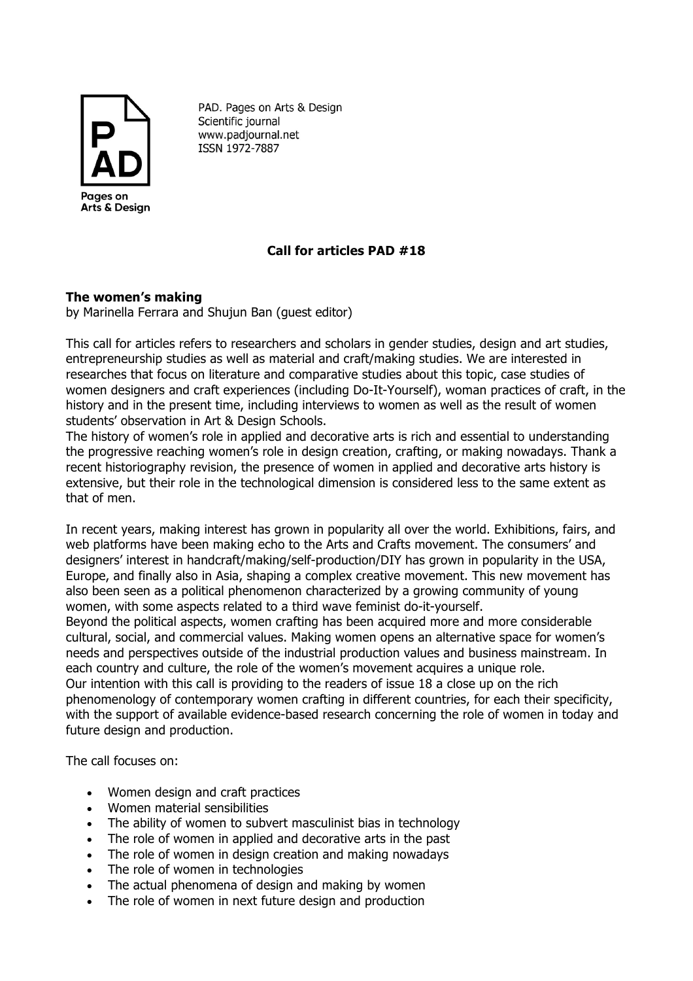

PAD. Pages on Arts & Design Scientific journal www.padjournal.net ISSN 1972-7887

## **Call for articles PAD #18**

## **The women's making**

by Marinella Ferrara and Shujun Ban (guest editor)

This call for articles refers to researchers and scholars in gender studies, design and art studies, entrepreneurship studies as well as material and craft/making studies. We are interested in researches that focus on literature and comparative studies about this topic, case studies of women designers and craft experiences (including Do-It-Yourself), woman practices of craft, in the history and in the present time, including interviews to women as well as the result of women students' observation in Art & Design Schools.

The history of women's role in applied and decorative arts is rich and essential to understanding the progressive reaching women's role in design creation, crafting, or making nowadays. Thank a recent historiography revision, the presence of women in applied and decorative arts history is extensive, but their role in the technological dimension is considered less to the same extent as that of men.

In recent years, making interest has grown in popularity all over the world. Exhibitions, fairs, and web platforms have been making echo to the Arts and Crafts movement. The consumers' and designers' interest in handcraft/making/self-production/DIY has grown in popularity in the USA, Europe, and finally also in Asia, shaping a complex creative movement. This new movement has also been seen as a political phenomenon characterized by a growing community of young women, with some aspects related to a third wave feminist do-it-yourself.

Beyond the political aspects, women crafting has been acquired more and more considerable cultural, social, and commercial values. Making women opens an alternative space for women's needs and perspectives outside of the industrial production values and business mainstream. In each country and culture, the role of the women's movement acquires a unique role. Our intention with this call is providing to the readers of issue 18 a close up on the rich phenomenology of contemporary women crafting in different countries, for each their specificity, with the support of available evidence-based research concerning the role of women in today and

future design and production.

The call focuses on:

- Women design and craft practices
- Women material sensibilities
- The ability of women to subvert masculinist bias in technology
- The role of women in applied and decorative arts in the past
- The role of women in design creation and making nowadays
- The role of women in technologies
- The actual phenomena of design and making by women
- The role of women in next future design and production